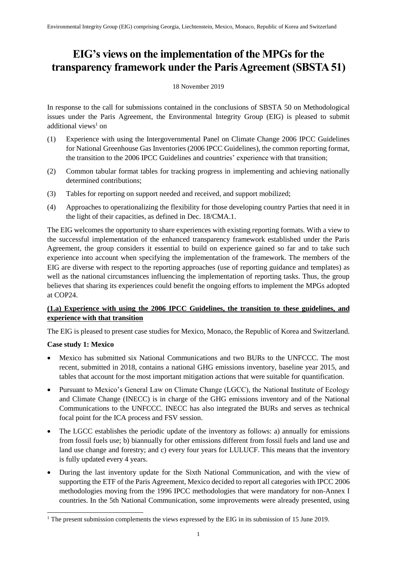# **EIG's views on the implementation of the MPGs for the transparency framework under the Paris Agreement (SBSTA 51)**

#### 18 November 2019

In response to the call for submissions contained in the conclusions of SBSTA 50 on Methodological issues under the Paris Agreement, the Environmental Integrity Group (EIG) is pleased to submit additional views<sup>1</sup> on

- (1) Experience with using the Intergovernmental Panel on Climate Change 2006 IPCC Guidelines for National Greenhouse Gas Inventories (2006 IPCC Guidelines), the common reporting format, the transition to the 2006 IPCC Guidelines and countries' experience with that transition;
- (2) Common tabular format tables for tracking progress in implementing and achieving nationally determined contributions;
- (3) Tables for reporting on support needed and received, and support mobilized;
- (4) Approaches to operationalizing the flexibility for those developing country Parties that need it in the light of their capacities, as defined in Dec. 18/CMA.1.

The EIG welcomes the opportunity to share experiences with existing reporting formats. With a view to the successful implementation of the enhanced transparency framework established under the Paris Agreement, the group considers it essential to build on experience gained so far and to take such experience into account when specifying the implementation of the framework. The members of the EIG are diverse with respect to the reporting approaches (use of reporting guidance and templates) as well as the national circumstances influencing the implementation of reporting tasks. Thus, the group believes that sharing its experiences could benefit the ongoing efforts to implement the MPGs adopted at COP24.

### **(1.a) Experience with using the 2006 IPCC Guidelines, the transition to these guidelines, and experience with that transition**

The EIG is pleased to present case studies for Mexico, Monaco, the Republic of Korea and Switzerland.

#### **Case study 1: Mexico**

1

- Mexico has submitted six National Communications and two BURs to the UNFCCC. The most recent, submitted in 2018, contains a national GHG emissions inventory, baseline year 2015, and tables that account for the most important mitigation actions that were suitable for quantification.
- Pursuant to Mexico's General Law on Climate Change (LGCC), the National Institute of Ecology and Climate Change (INECC) is in charge of the GHG emissions inventory and of the National Communications to the UNFCCC. INECC has also integrated the BURs and serves as technical focal point for the ICA process and FSV session.
- The LGCC establishes the periodic update of the inventory as follows: a) annually for emissions from fossil fuels use; b) biannually for other emissions different from fossil fuels and land use and land use change and forestry; and c) every four years for LULUCF. This means that the inventory is fully updated every 4 years.
- During the last inventory update for the Sixth National Communication, and with the view of supporting the ETF of the Paris Agreement, Mexico decided to report all categories with IPCC 2006 methodologies moving from the 1996 IPCC methodologies that were mandatory for non-Annex I countries. In the 5th National Communication, some improvements were already presented, using

<sup>&</sup>lt;sup>1</sup> The present submission complements the views expressed by the EIG in its submission of 15 June 2019.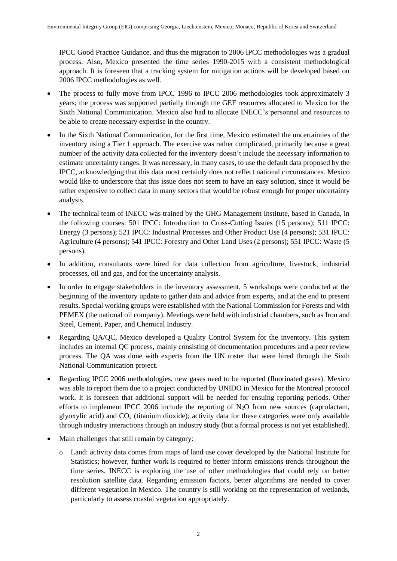IPCC Good Practice Guidance, and thus the migration to 2006 IPCC methodologies was a gradual process. Also, Mexico presented the time series 1990-2015 with a consistent methodological approach. It is foreseen that a tracking system for mitigation actions will be developed based on 2006 IPCC methodologies as well.

- The process to fully move from IPCC 1996 to IPCC 2006 methodologies took approximately 3 years; the process was supported partially through the GEF resources allocated to Mexico for the Sixth National Communication. Mexico also had to allocate INECC's personnel and resources to be able to create necessary expertise in the country.
- In the Sixth National Communication, for the first time, Mexico estimated the uncertainties of the inventory using a Tier 1 approach. The exercise was rather complicated, primarily because a great number of the activity data collected for the inventory doesn't include the necessary information to estimate uncertainty ranges. It was necessary, in many cases, to use the default data proposed by the IPCC, acknowledging that this data most certainly does not reflect national circumstances. Mexico would like to underscore that this issue does not seem to have an easy solution, since it would be rather expensive to collect data in many sectors that would be robust enough for proper uncertainty analysis.
- The technical team of INECC was trained by the GHG Management Institute, based in Canada, in the following courses: 501 IPCC: Introduction to Cross-Cutting Issues (15 persons); 511 IPCC: Energy (3 persons); 521 IPCC: Industrial Processes and Other Product Use (4 persons); 531 IPCC: Agriculture (4 persons); 541 IPCC: Forestry and Other Land Uses (2 persons); 551 IPCC: Waste (5 persons).
- In addition, consultants were hired for data collection from agriculture, livestock, industrial processes, oil and gas, and for the uncertainty analysis.
- In order to engage stakeholders in the inventory assessment, 5 workshops were conducted at the beginning of the inventory update to gather data and advice from experts, and at the end to present results. Special working groups were established with the National Commission for Forests and with PEMEX (the national oil company). Meetings were held with industrial chambers, such as Iron and Steel, Cement, Paper, and Chemical Industry.
- Regarding QA/QC, Mexico developed a Quality Control System for the inventory. This system includes an internal QC process, mainly consisting of documentation procedures and a peer review process. The QA was done with experts from the UN roster that were hired through the Sixth National Communication project.
- Regarding IPCC 2006 methodologies, new gases need to be reported (fluorinated gases). Mexico was able to report them due to a project conducted by UNIDO in Mexico for the Montreal protocol work. It is foreseen that additional support will be needed for ensuing reporting periods. Other efforts to implement IPCC 2006 include the reporting of  $N_2O$  from new sources (caprolactam, glyoxylic acid) and  $CO<sub>2</sub>$  (titanium dioxide); activity data for these categories were only available through industry interactions through an industry study (but a formal process is not yet established).
- Main challenges that still remain by category:
	- o Land: activity data comes from maps of land use cover developed by the National Institute for Statistics; however, further work is required to better inform emissions trends throughout the time series. INECC is exploring the use of other methodologies that could rely on better resolution satellite data. Regarding emission factors, better algorithms are needed to cover different vegetation in Mexico. The country is still working on the representation of wetlands, particularly to assess coastal vegetation appropriately.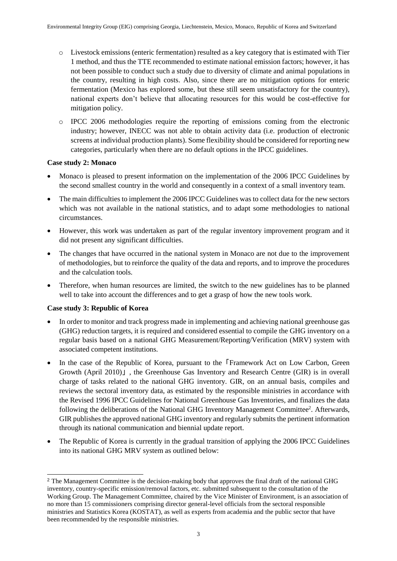- o Livestock emissions (enteric fermentation) resulted as a key category that is estimated with Tier 1 method, and thus the TTE recommended to estimate national emission factors; however, it has not been possible to conduct such a study due to diversity of climate and animal populations in the country, resulting in high costs. Also, since there are no mitigation options for enteric fermentation (Mexico has explored some, but these still seem unsatisfactory for the country), national experts don't believe that allocating resources for this would be cost-effective for mitigation policy.
- o IPCC 2006 methodologies require the reporting of emissions coming from the electronic industry; however, INECC was not able to obtain activity data (i.e. production of electronic screens at individual production plants). Some flexibility should be considered for reporting new categories, particularly when there are no default options in the IPCC guidelines.

### **Case study 2: Monaco**

- Monaco is pleased to present information on the implementation of the 2006 IPCC Guidelines by the second smallest country in the world and consequently in a context of a small inventory team.
- The main difficulties to implement the 2006 IPCC Guidelines was to collect data for the new sectors which was not available in the national statistics, and to adapt some methodologies to national circumstances.
- However, this work was undertaken as part of the regular inventory improvement program and it did not present any significant difficulties.
- The changes that have occurred in the national system in Monaco are not due to the improvement of methodologies, but to reinforce the quality of the data and reports, and to improve the procedures and the calculation tools.
- Therefore, when human resources are limited, the switch to the new guidelines has to be planned well to take into account the differences and to get a grasp of how the new tools work.

#### **Case study 3: Republic of Korea**

- In order to monitor and track progress made in implementing and achieving national greenhouse gas (GHG) reduction targets, it is required and considered essential to compile the GHG inventory on a regular basis based on a national GHG Measurement/Reporting/Verification (MRV) system with associated competent institutions.
- In the case of the Republic of Korea, pursuant to the Framework Act on Low Carbon, Green Growth (April 2010)」, the Greenhouse Gas Inventory and Research Centre (GIR) is in overall charge of tasks related to the national GHG inventory. GIR, on an annual basis, compiles and reviews the sectoral inventory data, as estimated by the responsible ministries in accordance with the Revised 1996 IPCC Guidelines for National Greenhouse Gas Inventories, and finalizes the data following the deliberations of the National GHG Inventory Management Committee<sup>2</sup>. Afterwards, GIR publishes the approved national GHG inventory and regularly submits the pertinent information through its national communication and biennial update report.
- The Republic of Korea is currently in the gradual transition of applying the 2006 IPCC Guidelines into its national GHG MRV system as outlined below:

<sup>1</sup> <sup>2</sup> The Management Committee is the decision-making body that approves the final draft of the national GHG inventory, country-specific emission/removal factors, etc. submitted subsequent to the consultation of the Working Group. The Management Committee, chaired by the Vice Minister of Environment, is an association of no more than 15 commissioners comprising director general-level officials from the sectoral responsible ministries and Statistics Korea (KOSTAT), as well as experts from academia and the public sector that have been recommended by the responsible ministries.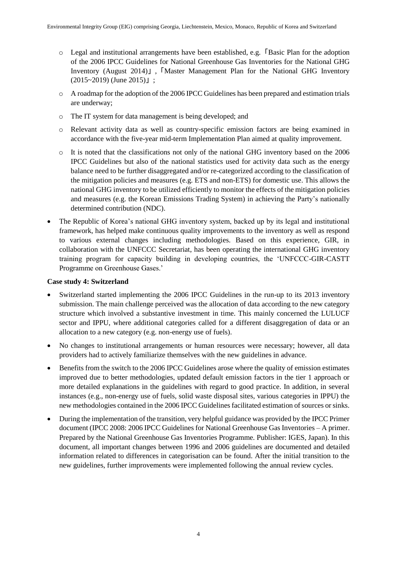- o Legal and institutional arrangements have been established, e.g.「Basic Plan for the adoption of the 2006 IPCC Guidelines for National Greenhouse Gas Inventories for the National GHG Inventory (August 2014)」,「Master Management Plan for the National GHG Inventory (2015~2019) (June 2015)」;
- o A roadmap for the adoption of the 2006 IPCC Guidelines has been prepared and estimation trials are underway;
- o The IT system for data management is being developed; and
- o Relevant activity data as well as country-specific emission factors are being examined in accordance with the five-year mid-term Implementation Plan aimed at quality improvement.
- o It is noted that the classifications not only of the national GHG inventory based on the 2006 IPCC Guidelines but also of the national statistics used for activity data such as the energy balance need to be further disaggregated and/or re-categorized according to the classification of the mitigation policies and measures (e.g. ETS and non-ETS) for domestic use. This allows the national GHG inventory to be utilized efficiently to monitor the effects of the mitigation policies and measures (e.g. the Korean Emissions Trading System) in achieving the Party's nationally determined contribution (NDC).
- The Republic of Korea's national GHG inventory system, backed up by its legal and institutional framework, has helped make continuous quality improvements to the inventory as well as respond to various external changes including methodologies. Based on this experience, GIR, in collaboration with the UNFCCC Secretariat, has been operating the international GHG inventory training program for capacity building in developing countries, the 'UNFCCC-GIR-CASTT Programme on Greenhouse Gases.'

#### **Case study 4: Switzerland**

- Switzerland started implementing the 2006 IPCC Guidelines in the run-up to its 2013 inventory submission. The main challenge perceived was the allocation of data according to the new category structure which involved a substantive investment in time. This mainly concerned the LULUCF sector and IPPU, where additional categories called for a different disaggregation of data or an allocation to a new category (e.g. non-energy use of fuels).
- No changes to institutional arrangements or human resources were necessary; however, all data providers had to actively familiarize themselves with the new guidelines in advance.
- Benefits from the switch to the 2006 IPCC Guidelines arose where the quality of emission estimates improved due to better methodologies, updated default emission factors in the tier 1 approach or more detailed explanations in the guidelines with regard to good practice. In addition, in several instances (e.g., non-energy use of fuels, solid waste disposal sites, various categories in IPPU) the new methodologies contained in the 2006 IPCC Guidelines facilitated estimation of sources or sinks.
- During the implementation of the transition, very helpful guidance was provided by the IPCC Primer document (IPCC 2008: 2006 IPCC Guidelines for National Greenhouse Gas Inventories – A primer. Prepared by the National Greenhouse Gas Inventories Programme. Publisher: IGES, Japan). In this document, all important changes between 1996 and 2006 guidelines are documented and detailed information related to differences in categorisation can be found. After the initial transition to the new guidelines, further improvements were implemented following the annual review cycles.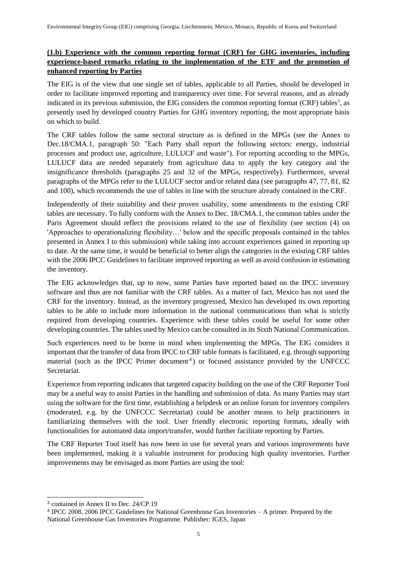## **(1.b) Experience with the common reporting format (CRF) for GHG inventories, including experience-based remarks relating to the implementation of the ETF and the promotion of enhanced reporting by Parties**

The EIG is of the view that one single set of tables, applicable to all Parties, should be developed in order to facilitate improved reporting and transparency over time. For several reasons, and as already indicated in its previous submission, the EIG considers the common reporting format (CRF) tables<sup>3</sup>, as presently used by developed country Parties for GHG inventory reporting, the most appropriate basis on which to build.

The CRF tables follow the same sectoral structure as is defined in the MPGs (see the Annex to Dec.18/CMA.1, paragraph 50: "Each Party shall report the following sectors: energy, industrial processes and product use, agriculture, LULUCF and waste"). For reporting according to the MPGs, LULUCF data are needed separately from agriculture data to apply the key category and the insignificance thresholds (paragraphs 25 and 32 of the MPGs, respectively). Furthermore, several paragraphs of the MPGs refer to the LULUCF sector and/or related data (see paragraphs 47, 77, 81, 82 and 100), which recommends the use of tables in line with the structure already contained in the CRF.

Independently of their suitability and their proven usability, some amendments to the existing CRF tables are necessary. To fully conform with the Annex to Dec. 18/CMA.1, the common tables under the Paris Agreement should reflect the provisions related to the use of flexibility (see section (4) on 'Approaches to operationalizing flexibility…' below and the specific proposals contained in the tables presented in Annex I to this submission) while taking into account experiences gained in reporting up to date. At the same time, it would be beneficial to better align the categories in the existing CRF tables with the 2006 IPCC Guidelines to facilitate improved reporting as well as avoid confusion in estimating the inventory.

The EIG acknowledges that, up to now, some Parties have reported based on the IPCC inventory software and thus are not familiar with the CRF tables. As a matter of fact, Mexico has not used the CRF for the inventory. Instead, as the inventory progressed, Mexico has developed its own reporting tables to be able to include more information in the national communications than what is strictly required from developing countries. Experience with these tables could be useful for some other developing countries. The tables used by Mexico can be consulted in its Sixth National Communication.

Such experiences need to be borne in mind when implementing the MPGs. The EIG considers it important that the transfer of data from IPCC to CRF table formats is facilitated, e.g. through supporting material (such as the IPCC Primer document<sup>4</sup>) or focused assistance provided by the UNFCCC Secretariat.

Experience from reporting indicates that targeted capacity building on the use of the CRF Reporter Tool may be a useful way to assist Parties in the handling and submission of data. As many Parties may start using the software for the first time, establishing a helpdesk or an online forum for inventory compilers (moderated, e.g. by the UNFCCC Secretariat) could be another means to help practitioners in familiarizing themselves with the tool. User friendly electronic reporting formats, ideally with functionalities for automated data import/transfer, would further facilitate reporting by Parties.

The CRF Reporter Tool itself has now been in use for several years and various improvements have been implemented, making it a valuable instrument for producing high quality inventories. Further improvements may be envisaged as more Parties are using the tool:

-

<sup>3</sup> contained in Annex II to Dec. 24/CP.19

<sup>4</sup> IPCC 2008, 2006 IPCC Guidelines for National Greenhouse Gas Inventories – A primer. Prepared by the National Greenhouse Gas Inventories Programme. Publisher: IGES, Japan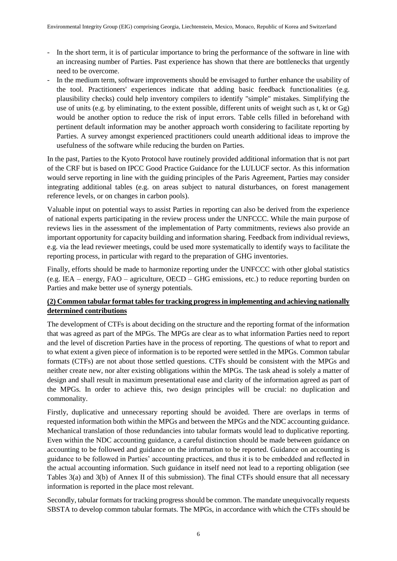- In the short term, it is of particular importance to bring the performance of the software in line with an increasing number of Parties. Past experience has shown that there are bottlenecks that urgently need to be overcome.
- In the medium term, software improvements should be envisaged to further enhance the usability of the tool. Practitioners' experiences indicate that adding basic feedback functionalities (e.g. plausibility checks) could help inventory compilers to identify "simple" mistakes. Simplifying the use of units (e.g. by eliminating, to the extent possible, different units of weight such as t, kt or Gg) would be another option to reduce the risk of input errors. Table cells filled in beforehand with pertinent default information may be another approach worth considering to facilitate reporting by Parties. A survey amongst experienced practitioners could unearth additional ideas to improve the usefulness of the software while reducing the burden on Parties.

In the past, Parties to the Kyoto Protocol have routinely provided additional information that is not part of the CRF but is based on IPCC Good Practice Guidance for the LULUCF sector. As this information would serve reporting in line with the guiding principles of the Paris Agreement, Parties may consider integrating additional tables (e.g. on areas subject to natural disturbances, on forest management reference levels, or on changes in carbon pools).

Valuable input on potential ways to assist Parties in reporting can also be derived from the experience of national experts participating in the review process under the UNFCCC. While the main purpose of reviews lies in the assessment of the implementation of Party commitments, reviews also provide an important opportunity for capacity building and information sharing. Feedback from individual reviews, e.g. via the lead reviewer meetings, could be used more systematically to identify ways to facilitate the reporting process, in particular with regard to the preparation of GHG inventories.

Finally, efforts should be made to harmonize reporting under the UNFCCC with other global statistics (e.g. IEA – energy, FAO – agriculture, OECD – GHG emissions, etc.) to reduce reporting burden on Parties and make better use of synergy potentials.

## **(2) Common tabular format tables for tracking progress in implementing and achieving nationally determined contributions**

The development of CTFs is about deciding on the structure and the reporting format of the information that was agreed as part of the MPGs. The MPGs are clear as to what information Parties need to report and the level of discretion Parties have in the process of reporting. The questions of what to report and to what extent a given piece of information is to be reported were settled in the MPGs. Common tabular formats (CTFs) are not about those settled questions. CTFs should be consistent with the MPGs and neither create new, nor alter existing obligations within the MPGs. The task ahead is solely a matter of design and shall result in maximum presentational ease and clarity of the information agreed as part of the MPGs. In order to achieve this, two design principles will be crucial: no duplication and commonality.

Firstly, duplicative and unnecessary reporting should be avoided. There are overlaps in terms of requested information both within the MPGs and between the MPGs and the NDC accounting guidance. Mechanical translation of those redundancies into tabular formats would lead to duplicative reporting. Even within the NDC accounting guidance, a careful distinction should be made between guidance on accounting to be followed and guidance on the information to be reported. Guidance on accounting is guidance to be followed in Parties' accounting practices, and thus it is to be embedded and reflected in the actual accounting information. Such guidance in itself need not lead to a reporting obligation (see Tables 3(a) and 3(b) of Annex II of this submission). The final CTFs should ensure that all necessary information is reported in the place most relevant.

Secondly, tabular formats for tracking progress should be common. The mandate unequivocally requests SBSTA to develop common tabular formats. The MPGs, in accordance with which the CTFs should be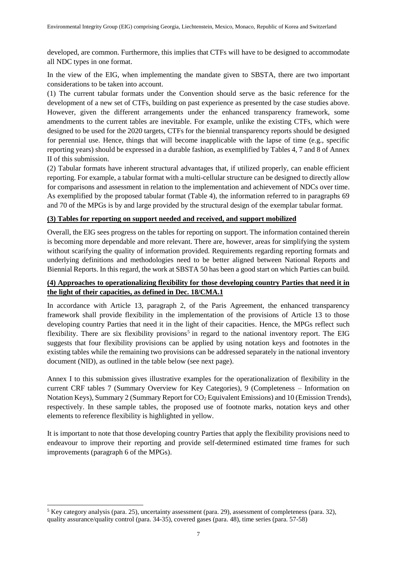developed, are common. Furthermore, this implies that CTFs will have to be designed to accommodate all NDC types in one format.

In the view of the EIG, when implementing the mandate given to SBSTA, there are two important considerations to be taken into account.

(1) The current tabular formats under the Convention should serve as the basic reference for the development of a new set of CTFs, building on past experience as presented by the case studies above. However, given the different arrangements under the enhanced transparency framework, some amendments to the current tables are inevitable. For example, unlike the existing CTFs, which were designed to be used for the 2020 targets, CTFs for the biennial transparency reports should be designed for perennial use. Hence, things that will become inapplicable with the lapse of time (e.g., specific reporting years) should be expressed in a durable fashion, as exemplified by Tables 4, 7 and 8 of Annex II of this submission.

(2) Tabular formats have inherent structural advantages that, if utilized properly, can enable efficient reporting. For example, a tabular format with a multi-cellular structure can be designed to directly allow for comparisons and assessment in relation to the implementation and achievement of NDCs over time. As exemplified by the proposed tabular format (Table 4), the information referred to in paragraphs 69 and 70 of the MPGs is by and large provided by the structural design of the exemplar tabular format.

#### **(3) Tables for reporting on support needed and received, and support mobilized**

Overall, the EIG sees progress on the tables for reporting on support. The information contained therein is becoming more dependable and more relevant. There are, however, areas for simplifying the system without scarifying the quality of information provided. Requirements regarding reporting formats and underlying definitions and methodologies need to be better aligned between National Reports and Biennial Reports. In this regard, the work at SBSTA 50 has been a good start on which Parties can build.

#### **(4) Approaches to operationalizing flexibility for those developing country Parties that need it in the light of their capacities, as defined in Dec. 18/CMA.1**

In accordance with Article 13, paragraph 2, of the Paris Agreement, the enhanced transparency framework shall provide flexibility in the implementation of the provisions of Article 13 to those developing country Parties that need it in the light of their capacities. Hence, the MPGs reflect such flexibility. There are six flexibility provisions<sup>5</sup> in regard to the national inventory report. The EIG suggests that four flexibility provisions can be applied by using notation keys and footnotes in the existing tables while the remaining two provisions can be addressed separately in the national inventory document (NID), as outlined in the table below (see next page).

Annex I to this submission gives illustrative examples for the operationalization of flexibility in the current CRF tables 7 (Summary Overview for Key Categories), 9 (Completeness – Information on Notation Keys), Summary 2 (Summary Report for CO<sub>2</sub> Equivalent Emissions) and 10 (Emission Trends), respectively. In these sample tables, the proposed use of footnote marks, notation keys and other elements to reference flexibility is highlighted in yellow.

It is important to note that those developing country Parties that apply the flexibility provisions need to endeavour to improve their reporting and provide self-determined estimated time frames for such improvements (paragraph 6 of the MPGs).

-

<sup>5</sup> Key category analysis (para. 25), uncertainty assessment (para. 29), assessment of completeness (para. 32), quality assurance/quality control (para. 34-35), covered gases (para. 48), time series (para. 57-58)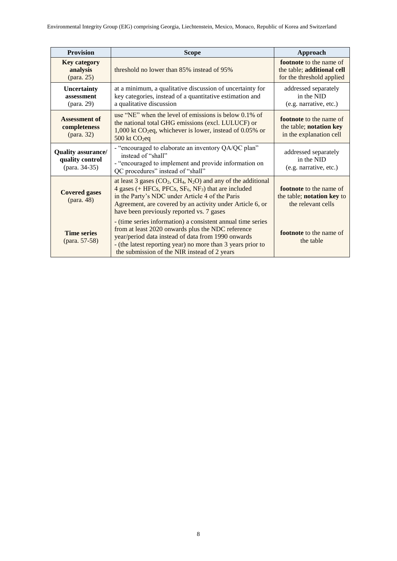| <b>Provision</b>                                              | <b>Scope</b>                                                                                                                                                                                                                                                                                        | Approach                                                                                  |  |  |
|---------------------------------------------------------------|-----------------------------------------------------------------------------------------------------------------------------------------------------------------------------------------------------------------------------------------------------------------------------------------------------|-------------------------------------------------------------------------------------------|--|--|
| <b>Key category</b><br>analysis                               | threshold no lower than 85% instead of 95%                                                                                                                                                                                                                                                          | <b>footnote</b> to the name of<br>the table; additional cell<br>for the threshold applied |  |  |
| Uncertainty<br>assessment<br>(para. 29)                       | at a minimum, a qualitative discussion of uncertainty for<br>key categories, instead of a quantitative estimation and<br>a qualitative discussion                                                                                                                                                   | addressed separately<br>in the NID<br>(e.g. narrative, etc.)                              |  |  |
| <b>Assessment of</b><br>completeness<br>$(\text{para. } 32)$  | use "NE" when the level of emissions is below $0.1\%$ of<br>the national total GHG emissions (excl. LULUCF) or<br>$1,000$ kt CO <sub>2</sub> eq, whichever is lower, instead of 0.05% or<br>500 kt CO <sub>2</sub> eq                                                                               | <b>footnote</b> to the name of<br>the table; notation key<br>in the explanation cell      |  |  |
| <b>Quality assurance/</b><br>quality control<br>(para. 34-35) | - "encouraged to elaborate an inventory QA/QC plan"<br>instead of "shall"<br>- "encouraged to implement and provide information on<br>QC procedures" instead of "shall"                                                                                                                             | addressed separately<br>in the NID<br>(e.g. narrative, etc.)                              |  |  |
| <b>Covered gases</b>                                          | at least 3 gases $(CO_2, CH_4, N_2O)$ and any of the additional<br>4 gases (+ HFCs, PFCs, $SF_6$ , NF <sub>3</sub> ) that are included<br>in the Party's NDC under Article 4 of the Paris<br>Agreement, are covered by an activity under Article 6, or<br>have been previously reported vs. 7 gases | <b>footnote</b> to the name of<br>the table; notation key to<br>the relevant cells        |  |  |
| <b>Time series</b><br>(para. 57-58)                           | - (time series information) a consistent annual time series<br>from at least 2020 onwards plus the NDC reference<br>year/period data instead of data from 1990 onwards<br>- (the latest reporting year) no more than 3 years prior to<br>the submission of the NIR instead of 2 years               | footnote to the name of<br>the table                                                      |  |  |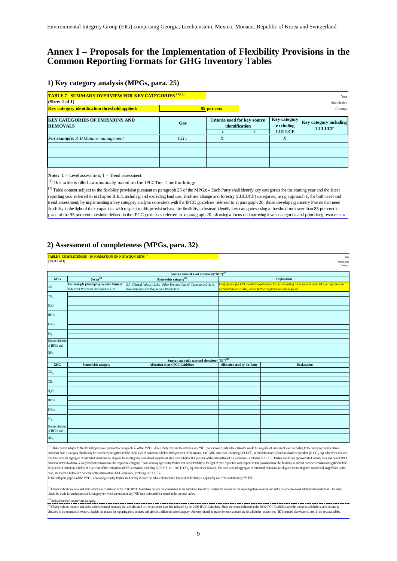# **Annex I – Proposals for the Implementation of Flexibility Provisions in the Common Reporting Formats for GHG Inventory Tables**

#### **1) Key category analysis (MPGs, para. 25)**

| <b>TABLE 7 SUMMARY OVERVIEW FOR KEY CATEGORIES (1)(2)</b><br>(Sheet 1 of 1)<br>Key category identification threshold applied: |                 | 85 per cent                                    |                                                   | Year<br>Submission<br>Country                  |
|-------------------------------------------------------------------------------------------------------------------------------|-----------------|------------------------------------------------|---------------------------------------------------|------------------------------------------------|
| <b>KEY CATEGORIES OF EMISSIONS AND</b><br><b>REMOVALS</b>                                                                     | Gas             | Criteria used for key source<br>identification | <b>Key category</b><br>excluding<br><b>LULUCF</b> | <b>Key category including</b><br><b>LULUCF</b> |
| For example: 3.B Manure management                                                                                            | CH <sub>A</sub> | X                                              | X                                                 |                                                |

**Note:**  $L = \text{Level assessment}$ ;  $T = \text{Trend assessment}$ .

 $\left| \text{ }^{(1)} \right|$ This table is filled automatically based on the IPCC Tier 1 methodology.

( $^{2}$ ) Table content subject to the flexibility provision pursuant to paragraph 25 of the MPGs: «Each Party shall identify key categories for the starting year and the latest reporting year referred to in chapter II.E.3, including and excluding land use, land-use change and forestry (LULUCF) categories, using approach 1, for both level and trend assessment, by implementing a key category analysis consistent with the IPCC guidelines referred to in paragraph 20; those developing country Parties that need flexibility in the light of their capacities with respect to this provision have the flexibility to instead identify key categories using a threshold no lower than 85 per cent in place of the 95 per cent threshold defined in the IPCC guidelines referred to in paragraph 20, allowing a focus on improving fewer categories and prioritizing resources.»

#### **2) Assessment of completeness (MPGs, para. 32)**

| Year<br>Submission<br>Country                                                                         |                                                                |                                                                                                               | TABLE 9 COMPLETENESS - INFORMATION ON NOTATION KEYS <sup>(1)</sup>                       | (Sheet 1 of 1)                 |
|-------------------------------------------------------------------------------------------------------|----------------------------------------------------------------|---------------------------------------------------------------------------------------------------------------|------------------------------------------------------------------------------------------|--------------------------------|
|                                                                                                       |                                                                | Sources and sinks not estimated ("NE") <sup>(2)</sup>                                                         |                                                                                          |                                |
| <b>Explanation</b>                                                                                    |                                                                | Source/sink category <sup>(3)</sup>                                                                           | $Sector^{(3)}$                                                                           | <b>GHG</b>                     |
| Insignificant (FLEX): detailed explanation for not reporting these sources and sinks, or reference to | section/chapter in NID, where further explanation can be found | 2.A Mineral Industry/2.A.4 Other Process Uses of Carbonates/2.A.4.c<br>Non-metallurgical Magnesium Production | For example (developing country Parties):<br><b>Industrial Processes and Product Use</b> | $\frac{CO_2}{CH_4}$            |
|                                                                                                       |                                                                |                                                                                                               |                                                                                          |                                |
|                                                                                                       |                                                                |                                                                                                               |                                                                                          | $N_2O$                         |
|                                                                                                       |                                                                |                                                                                                               |                                                                                          | <b>HFCs</b>                    |
|                                                                                                       |                                                                |                                                                                                               |                                                                                          | PFCs                           |
|                                                                                                       |                                                                |                                                                                                               |                                                                                          | SF <sub>6</sub>                |
|                                                                                                       |                                                                |                                                                                                               |                                                                                          | Unspecified mix<br>of HFCs and |
|                                                                                                       |                                                                |                                                                                                               |                                                                                          | NF <sub>3</sub>                |
|                                                                                                       |                                                                | Sources and sinks reported elsewhere $("I\!E")^{(4)}$                                                         |                                                                                          |                                |
| <b>Explanation</b>                                                                                    | Allocation used by the Party                                   | <b>Allocation as per IPCC Guidelines</b>                                                                      | Source/sink category                                                                     | <b>GHG</b>                     |
|                                                                                                       |                                                                |                                                                                                               |                                                                                          | CO <sub>2</sub>                |
|                                                                                                       |                                                                |                                                                                                               |                                                                                          | CH <sub>4</sub>                |
|                                                                                                       |                                                                |                                                                                                               |                                                                                          | $N_2O$                         |
|                                                                                                       |                                                                |                                                                                                               |                                                                                          | <b>HFCs</b>                    |
|                                                                                                       |                                                                |                                                                                                               |                                                                                          | PFCs                           |
|                                                                                                       |                                                                |                                                                                                               |                                                                                          | SF <sub>6</sub>                |
|                                                                                                       |                                                                |                                                                                                               |                                                                                          | Unspecified mix<br>of HFCs and |
|                                                                                                       |                                                                |                                                                                                               |                                                                                          | NF <sub>3</sub>                |

Table content subject to the flexibility provision pursuant to paragraph 32 of the MPGs: «Each Party may use the notation key "NE" (not estimated) when the estimates would be insignificant in terms of level according to th emissions from a category should only be considered insignificant if the likely level of emissions is below 0.05 per cent of the national total GHG emissions, excluding LULUCF, or 500 kilotomes of carbon dioxide equivalen The total national aggregate of estimated emissions for all gases from categories considered insignificant shall remain below 0.1 per cent of the national total GHG emissions, excluding LULUCF. Parties should use approxima mission factors to derive a likely level of emissions for the respective category. Those developing country Parties that need flexibility in the light of their capacities with respect to this provision have the flexibility likely level of emissions is below 0.1 per cent of the national total GHG emissions, excluding LULUCF, or 1,000 kt CO<sub>2</sub> eq, whichever is lower. The total national aggregate of estimated emissions for all gases from categ

case, shall remain below 0.2 per cent of the national total GHG emissions, excluding LULUCF.»<br>In line with paragraph 6 of the MPGs, developing country Parties shall clearly indicate the table cells to which this kind of fl

Clearly indicate sources and sinks which are considered in the 2006 IPCC Guidelines but are not considered in the submitted inventory. Explain the reason for not reporting these sources and sinks, in order to avoid arbitra should be made for each source/sink category for which the notation key "NE" (not estimated) is entered in the sectoral tables.

#### <sup>()</sup> Indicate omitted source/sink category.

n na mara ann an chomhain ann an chomhainn an chomhainn an chomhainn an chomhainn an chomhainn an chomhainn an chomhainn an chomhainn an chomhainn an chomhainn an chomhainn an chomhainn an chomhainn an chomhainn an chomhai ocated in the submitted inventory. Explain the reason for reporting these sources and sinks in a different sector/category. An entry should be made for each source/sink for which the notation key "IE" (included elsewhere)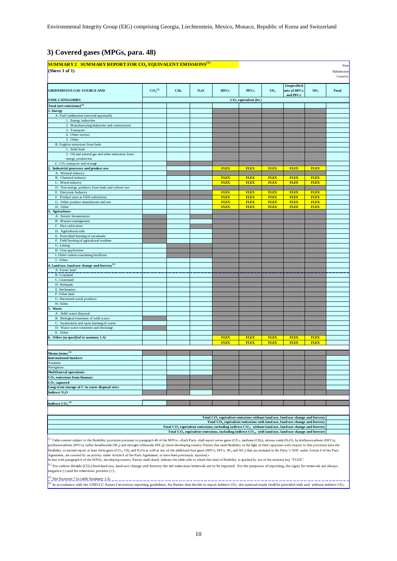Environmental Integrity Group (EIG) comprising Georgia, Liechtenstein, Mexico, Monaco, Republic of Korea and Switzerland

## **3) Covered gases (MPGs, para. 48)**

| SUMMARY 2 SUMMARY REPORT FOR CO <sub>2</sub> EQUIVALENT EMISSIONS <sup>(1)</sup><br>(Sheet 1 of 1)                                                                                                                                                                                                                                                                                                                                                                                                                                                                                                                                                                                                                                                                                        |                                |                 |        |                                                                                                                              |                                 |                            |                                        |                            | Year<br>Submission<br>Country |
|-------------------------------------------------------------------------------------------------------------------------------------------------------------------------------------------------------------------------------------------------------------------------------------------------------------------------------------------------------------------------------------------------------------------------------------------------------------------------------------------------------------------------------------------------------------------------------------------------------------------------------------------------------------------------------------------------------------------------------------------------------------------------------------------|--------------------------------|-----------------|--------|------------------------------------------------------------------------------------------------------------------------------|---------------------------------|----------------------------|----------------------------------------|----------------------------|-------------------------------|
| <b>GREENHOUSE GAS SOURCE AND</b>                                                                                                                                                                                                                                                                                                                                                                                                                                                                                                                                                                                                                                                                                                                                                          | CO <sub>2</sub> <sup>(2)</sup> | CH <sub>4</sub> | $N_2O$ | <b>HFCs</b>                                                                                                                  | <b>PFCs</b>                     | SF <sub>6</sub>            | Unspecified<br>mix of HFCs<br>and PFCs | NF <sub>3</sub>            | <b>Total</b>                  |
| <b>SINK CATEGORIES</b>                                                                                                                                                                                                                                                                                                                                                                                                                                                                                                                                                                                                                                                                                                                                                                    |                                |                 |        |                                                                                                                              | CO <sub>2</sub> equivalent (kt) |                            |                                        |                            |                               |
| Total (net emissions) $^{(2)}$                                                                                                                                                                                                                                                                                                                                                                                                                                                                                                                                                                                                                                                                                                                                                            |                                |                 |        |                                                                                                                              |                                 |                            |                                        |                            |                               |
| <b>Energy</b>                                                                                                                                                                                                                                                                                                                                                                                                                                                                                                                                                                                                                                                                                                                                                                             |                                |                 |        |                                                                                                                              |                                 |                            |                                        |                            |                               |
| A. Fuel combustion (sectoral approach)<br>1. Energy industries                                                                                                                                                                                                                                                                                                                                                                                                                                                                                                                                                                                                                                                                                                                            |                                |                 |        |                                                                                                                              |                                 |                            |                                        |                            |                               |
| 2. Manufacturing industries and construction                                                                                                                                                                                                                                                                                                                                                                                                                                                                                                                                                                                                                                                                                                                                              |                                |                 |        |                                                                                                                              |                                 |                            |                                        |                            |                               |
| 3. Transport                                                                                                                                                                                                                                                                                                                                                                                                                                                                                                                                                                                                                                                                                                                                                                              |                                |                 |        |                                                                                                                              |                                 |                            |                                        |                            |                               |
| 4. Other sectors<br>5. Other                                                                                                                                                                                                                                                                                                                                                                                                                                                                                                                                                                                                                                                                                                                                                              |                                |                 |        |                                                                                                                              |                                 |                            |                                        |                            |                               |
| B. Fugitive emissions from fuels                                                                                                                                                                                                                                                                                                                                                                                                                                                                                                                                                                                                                                                                                                                                                          |                                |                 |        |                                                                                                                              |                                 |                            |                                        |                            |                               |
| 1. Solid fuels                                                                                                                                                                                                                                                                                                                                                                                                                                                                                                                                                                                                                                                                                                                                                                            |                                |                 |        |                                                                                                                              |                                 |                            |                                        |                            |                               |
| 2. Oil and natural gas and other emissions from<br>energy production                                                                                                                                                                                                                                                                                                                                                                                                                                                                                                                                                                                                                                                                                                                      |                                |                 |        |                                                                                                                              |                                 |                            |                                        |                            |                               |
| C. CO <sub>2</sub> transport and storage                                                                                                                                                                                                                                                                                                                                                                                                                                                                                                                                                                                                                                                                                                                                                  |                                |                 |        |                                                                                                                              |                                 |                            |                                        |                            |                               |
| Industrial processes and product use<br>A. Mineral industry                                                                                                                                                                                                                                                                                                                                                                                                                                                                                                                                                                                                                                                                                                                               |                                |                 |        | <b>FLEX</b>                                                                                                                  | <b>FLEX</b>                     | <b>FLEX</b>                | <b>FLEX</b>                            | <b>FLEX</b>                |                               |
| B. Chemical industry                                                                                                                                                                                                                                                                                                                                                                                                                                                                                                                                                                                                                                                                                                                                                                      |                                |                 |        | <b>FLEX</b>                                                                                                                  | <b>FLEX</b>                     | <b>FLEX</b>                | <b>FLEX</b>                            | <b>FLEX</b>                |                               |
| C. Metal industry                                                                                                                                                                                                                                                                                                                                                                                                                                                                                                                                                                                                                                                                                                                                                                         |                                |                 |        | <b>FLEX</b>                                                                                                                  | <b>FLEX</b>                     | <b>FLEX</b>                | <b>FLEX</b>                            | <b>FLEX</b>                |                               |
| D. Non-energy products from fuels and solvent use                                                                                                                                                                                                                                                                                                                                                                                                                                                                                                                                                                                                                                                                                                                                         |                                |                 |        |                                                                                                                              |                                 |                            |                                        |                            |                               |
| E. Electronic Industry                                                                                                                                                                                                                                                                                                                                                                                                                                                                                                                                                                                                                                                                                                                                                                    |                                |                 |        | <b>FLEX</b>                                                                                                                  | <b>FLEX</b>                     | <b>FLEX</b>                | <b>FLEX</b>                            | <b>FLEX</b>                |                               |
| F. Product uses as ODS substitutes<br>G. Other product manufacture and use                                                                                                                                                                                                                                                                                                                                                                                                                                                                                                                                                                                                                                                                                                                |                                |                 |        | <b>FLEX</b><br><b>FLEX</b>                                                                                                   | <b>FLEX</b><br><b>FLEX</b>      | <b>FLEX</b><br><b>FLEX</b> | <b>FLEX</b><br><b>FLEX</b>             | <b>FLEX</b><br><b>FLEX</b> |                               |
| H. Other                                                                                                                                                                                                                                                                                                                                                                                                                                                                                                                                                                                                                                                                                                                                                                                  |                                |                 |        | <b>FLEX</b>                                                                                                                  | <b>FLEX</b>                     | <b>FLEX</b>                | <b>FLEX</b>                            | <b>FLEX</b>                |                               |
| <b>Agriculture</b>                                                                                                                                                                                                                                                                                                                                                                                                                                                                                                                                                                                                                                                                                                                                                                        |                                |                 |        |                                                                                                                              |                                 |                            |                                        |                            |                               |
| A. Enteric fermentation                                                                                                                                                                                                                                                                                                                                                                                                                                                                                                                                                                                                                                                                                                                                                                   |                                |                 |        |                                                                                                                              |                                 |                            |                                        |                            |                               |
| B. Manure management                                                                                                                                                                                                                                                                                                                                                                                                                                                                                                                                                                                                                                                                                                                                                                      |                                |                 |        |                                                                                                                              |                                 |                            |                                        |                            |                               |
| C. Rice cultivation                                                                                                                                                                                                                                                                                                                                                                                                                                                                                                                                                                                                                                                                                                                                                                       |                                |                 |        |                                                                                                                              |                                 |                            |                                        |                            |                               |
| D. Agricultural soils<br>E. Prescribed burning of savannahs                                                                                                                                                                                                                                                                                                                                                                                                                                                                                                                                                                                                                                                                                                                               |                                |                 |        |                                                                                                                              |                                 |                            |                                        |                            |                               |
| F. Field burning of agricultural residues                                                                                                                                                                                                                                                                                                                                                                                                                                                                                                                                                                                                                                                                                                                                                 |                                |                 |        |                                                                                                                              |                                 |                            |                                        |                            |                               |
| G. Liming                                                                                                                                                                                                                                                                                                                                                                                                                                                                                                                                                                                                                                                                                                                                                                                 |                                |                 |        |                                                                                                                              |                                 |                            |                                        |                            |                               |
| H. Urea application                                                                                                                                                                                                                                                                                                                                                                                                                                                                                                                                                                                                                                                                                                                                                                       |                                |                 |        |                                                                                                                              |                                 |                            |                                        |                            |                               |
| I. Other carbon-containing fertilizers                                                                                                                                                                                                                                                                                                                                                                                                                                                                                                                                                                                                                                                                                                                                                    |                                |                 |        |                                                                                                                              |                                 |                            |                                        |                            |                               |
| J. Other<br>Land use, land-use change and forestry <sup>(2)</sup>                                                                                                                                                                                                                                                                                                                                                                                                                                                                                                                                                                                                                                                                                                                         |                                |                 |        |                                                                                                                              |                                 |                            |                                        |                            |                               |
| A. Forest land                                                                                                                                                                                                                                                                                                                                                                                                                                                                                                                                                                                                                                                                                                                                                                            |                                |                 |        |                                                                                                                              |                                 |                            |                                        |                            |                               |
| B. Cropland                                                                                                                                                                                                                                                                                                                                                                                                                                                                                                                                                                                                                                                                                                                                                                               |                                |                 |        |                                                                                                                              |                                 |                            |                                        |                            |                               |
| C. Grassland                                                                                                                                                                                                                                                                                                                                                                                                                                                                                                                                                                                                                                                                                                                                                                              |                                |                 |        |                                                                                                                              |                                 |                            |                                        |                            |                               |
| D. Wetlands                                                                                                                                                                                                                                                                                                                                                                                                                                                                                                                                                                                                                                                                                                                                                                               |                                |                 |        |                                                                                                                              |                                 |                            |                                        |                            |                               |
| E. Settlements<br>F. Other land                                                                                                                                                                                                                                                                                                                                                                                                                                                                                                                                                                                                                                                                                                                                                           |                                |                 |        |                                                                                                                              |                                 |                            |                                        |                            |                               |
| G. Harvested wood products                                                                                                                                                                                                                                                                                                                                                                                                                                                                                                                                                                                                                                                                                                                                                                |                                |                 |        |                                                                                                                              |                                 |                            |                                        |                            |                               |
| H. Other                                                                                                                                                                                                                                                                                                                                                                                                                                                                                                                                                                                                                                                                                                                                                                                  |                                |                 |        |                                                                                                                              |                                 |                            |                                        |                            |                               |
| Waste                                                                                                                                                                                                                                                                                                                                                                                                                                                                                                                                                                                                                                                                                                                                                                                     |                                |                 |        |                                                                                                                              |                                 |                            |                                        |                            |                               |
| A. Solid waste disposal                                                                                                                                                                                                                                                                                                                                                                                                                                                                                                                                                                                                                                                                                                                                                                   |                                |                 |        |                                                                                                                              |                                 |                            |                                        |                            |                               |
| B. Biological treatment of solid waste<br>C. Incineration and open burning of waste                                                                                                                                                                                                                                                                                                                                                                                                                                                                                                                                                                                                                                                                                                       |                                |                 |        |                                                                                                                              |                                 |                            |                                        |                            |                               |
| D. Waste water treatment and discharge                                                                                                                                                                                                                                                                                                                                                                                                                                                                                                                                                                                                                                                                                                                                                    |                                |                 |        |                                                                                                                              |                                 |                            |                                        |                            |                               |
| E. Other                                                                                                                                                                                                                                                                                                                                                                                                                                                                                                                                                                                                                                                                                                                                                                                  |                                |                 |        |                                                                                                                              |                                 |                            |                                        |                            |                               |
| Other (as specified in summary 1.A)                                                                                                                                                                                                                                                                                                                                                                                                                                                                                                                                                                                                                                                                                                                                                       |                                |                 |        | <b>FLEX</b>                                                                                                                  | <b>FLEX</b>                     | <b>FLEX</b>                | <b>FLEX</b>                            | <b>FLEX</b>                |                               |
|                                                                                                                                                                                                                                                                                                                                                                                                                                                                                                                                                                                                                                                                                                                                                                                           |                                |                 |        | <b>FLEX</b>                                                                                                                  | <b>FLEX</b>                     | <b>FLEX</b>                | <b>FLEX</b>                            | <b>FLEX</b>                |                               |
|                                                                                                                                                                                                                                                                                                                                                                                                                                                                                                                                                                                                                                                                                                                                                                                           |                                |                 |        |                                                                                                                              |                                 |                            |                                        |                            |                               |
| Memo items: <sup>(3)</sup><br>International bunkers                                                                                                                                                                                                                                                                                                                                                                                                                                                                                                                                                                                                                                                                                                                                       |                                |                 |        |                                                                                                                              |                                 |                            |                                        |                            |                               |
| Aviation                                                                                                                                                                                                                                                                                                                                                                                                                                                                                                                                                                                                                                                                                                                                                                                  |                                |                 |        |                                                                                                                              |                                 |                            |                                        |                            |                               |
| Navigation                                                                                                                                                                                                                                                                                                                                                                                                                                                                                                                                                                                                                                                                                                                                                                                |                                |                 |        |                                                                                                                              |                                 |                            |                                        |                            |                               |
| Multilateral operations                                                                                                                                                                                                                                                                                                                                                                                                                                                                                                                                                                                                                                                                                                                                                                   |                                |                 |        |                                                                                                                              |                                 |                            |                                        |                            |                               |
| CO <sub>2</sub> emissions from biomass                                                                                                                                                                                                                                                                                                                                                                                                                                                                                                                                                                                                                                                                                                                                                    |                                |                 |        |                                                                                                                              |                                 |                            |                                        |                            |                               |
| $CO$ , captured<br>Long-term storage of C in waste disposal sites                                                                                                                                                                                                                                                                                                                                                                                                                                                                                                                                                                                                                                                                                                                         |                                |                 |        |                                                                                                                              |                                 |                            |                                        |                            |                               |
| Indirect N <sub>2</sub> O                                                                                                                                                                                                                                                                                                                                                                                                                                                                                                                                                                                                                                                                                                                                                                 |                                |                 |        |                                                                                                                              |                                 |                            |                                        |                            |                               |
|                                                                                                                                                                                                                                                                                                                                                                                                                                                                                                                                                                                                                                                                                                                                                                                           |                                |                 |        |                                                                                                                              |                                 |                            |                                        |                            |                               |
| Indirect CO <sub>2</sub> <sup>(4)</sup>                                                                                                                                                                                                                                                                                                                                                                                                                                                                                                                                                                                                                                                                                                                                                   |                                |                 |        |                                                                                                                              |                                 |                            |                                        |                            |                               |
|                                                                                                                                                                                                                                                                                                                                                                                                                                                                                                                                                                                                                                                                                                                                                                                           |                                |                 |        |                                                                                                                              |                                 |                            |                                        |                            |                               |
|                                                                                                                                                                                                                                                                                                                                                                                                                                                                                                                                                                                                                                                                                                                                                                                           |                                |                 |        |                                                                                                                              |                                 |                            |                                        |                            |                               |
| Total CO <sub>2</sub> equivalent emissions without land use, land-use change and forestry                                                                                                                                                                                                                                                                                                                                                                                                                                                                                                                                                                                                                                                                                                 |                                |                 |        |                                                                                                                              |                                 |                            |                                        |                            |                               |
| Total CO <sub>2</sub> equivalent emissions with land use, land-use change and forestry<br>Total $CO2$ equivalent emissions, including indirect $CO2$ , without land use, land-use change and forestry                                                                                                                                                                                                                                                                                                                                                                                                                                                                                                                                                                                     |                                |                 |        |                                                                                                                              |                                 |                            |                                        |                            |                               |
|                                                                                                                                                                                                                                                                                                                                                                                                                                                                                                                                                                                                                                                                                                                                                                                           |                                |                 |        | Total CO <sub>2</sub> equivalent emissions, including indirect CO <sub>2</sub> , with land use, land-use change and forestry |                                 |                            |                                        |                            |                               |
| <sup>(1)</sup> Table content subject to the flexibility provision pursuant to paragraph 48 of the MPGs: «Each Party shall report seven gases (CO <sub>2</sub> , methane (CH <sub>4</sub> ), nitrous oxide (N <sub>2</sub> O), hydrofluorocarbons (HFCs),<br>perfluorocarbons (PFCs), sulfur hexafluoride (SF <sub>6</sub> ) and nitrogen trifluoride (NF <sub>3</sub> )); those developing country Parties that need flexibility in the light of their capacities with respect to this provision have the<br>flexibility to instead report at least three gases (CO <sub>2</sub> , CH <sub>4</sub> and N <sub>2</sub> O) as well as any of the additional four gases (HFCs, PFCs, SF <sub>6</sub> and NF <sub>3</sub> ) that are included in the Party's NDC under Article 4 of the Paris |                                |                 |        |                                                                                                                              |                                 |                            |                                        |                            |                               |
| Agreement, are covered by an activity under Article 6 of the Paris Agreement, or have been previously reported.»<br>In line with paragraph 6 of the MPGs, developing country Parties shall clearly indicate the table cells to which this kind of flexibility is applied by use of the notation key "FLEX".                                                                                                                                                                                                                                                                                                                                                                                                                                                                               |                                |                 |        |                                                                                                                              |                                 |                            |                                        |                            |                               |

(2) For carbon dioxide (CO<sub>2</sub>) from land use, land-use change and forestry the net emissions/removals are to be reported. For the purposes of reporting, the signs for removals are always negative (-) and for emissions posi (2) For carbon dioxide (CO<sub>2</sub>) from land use, land-use change and forestry the net emissions/removals are to be reported. For the purposes of reporting, the signs for removals are always egative (-) and for emissions positive  $(+)$ .

 $^{(3)}$  See footnote 7 to table Summary 1.A.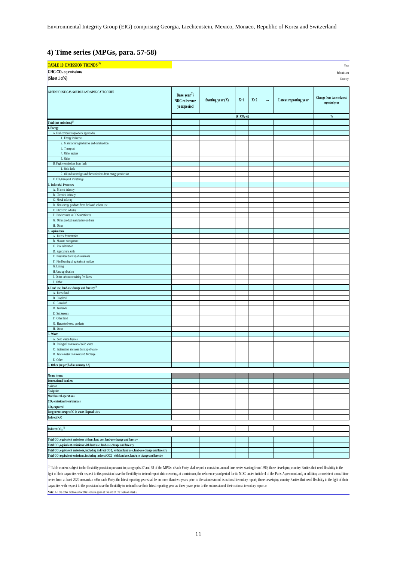Environmental Integrity Group (EIG) comprising Georgia, Liechtenstein, Mexico, Monaco, Republic of Korea and Switzerland

#### **4) Time series (MPGs, para. 57-58)**

| TABLE 10 EMISSION TRENDS <sup>(1)</sup>                                                                                                                                             |                                                            |                   |                                  |       |   |                       | Year                                                |
|-------------------------------------------------------------------------------------------------------------------------------------------------------------------------------------|------------------------------------------------------------|-------------------|----------------------------------|-------|---|-----------------------|-----------------------------------------------------|
| GHG CO <sub>2</sub> eq emissions                                                                                                                                                    |                                                            |                   |                                  |       |   |                       | Submission                                          |
| (Sheet 1 of $6$ )<br>Country                                                                                                                                                        |                                                            |                   |                                  |       |   |                       |                                                     |
| GREENHOUSE GAS SOURCE AND SINK CATEGORIES                                                                                                                                           | Base year <sup>(2)</sup> /<br>NDC reference<br>year/period | Starting year (X) | $X+1$<br>(kt CO <sub>2</sub> eq) | $X+2$ | m | Latest reporting year | Change from base to latest<br>reported year<br>$\%$ |
| Total (net emissions) <sup>(3)</sup>                                                                                                                                                |                                                            |                   |                                  |       |   |                       |                                                     |
| . Energy                                                                                                                                                                            |                                                            |                   |                                  |       |   |                       |                                                     |
| A. Fuel combustion (sectoral approach)                                                                                                                                              |                                                            |                   |                                  |       |   |                       |                                                     |
| 1. Energy industries                                                                                                                                                                |                                                            |                   |                                  |       |   |                       |                                                     |
| 2. Manufacturing industries and construction                                                                                                                                        |                                                            |                   |                                  |       |   |                       |                                                     |
| 3. Transport<br>4. Other sectors                                                                                                                                                    |                                                            |                   |                                  |       |   |                       |                                                     |
| 5. Other                                                                                                                                                                            |                                                            |                   |                                  |       |   |                       |                                                     |
| B. Fugitive emissions from fuels                                                                                                                                                    |                                                            |                   |                                  |       |   |                       |                                                     |
| 1. Solid fuels                                                                                                                                                                      |                                                            |                   |                                  |       |   |                       |                                                     |
| 2. Oil and natural gas and ther emissions from energy production                                                                                                                    |                                                            |                   |                                  |       |   |                       |                                                     |
| C. CO <sub>2</sub> transport and storage<br><b>Industrial Processes</b>                                                                                                             |                                                            |                   |                                  |       |   |                       |                                                     |
| A. Mineral industry                                                                                                                                                                 |                                                            |                   |                                  |       |   |                       |                                                     |
| B. Chemical industry                                                                                                                                                                |                                                            |                   |                                  |       |   |                       |                                                     |
| C. Metal industry                                                                                                                                                                   |                                                            |                   |                                  |       |   |                       |                                                     |
| D. Non-energy products from fuels and solvent use<br>E. Electronic industry                                                                                                         |                                                            |                   |                                  |       |   |                       |                                                     |
| F. Product uses as ODS substitutes                                                                                                                                                  |                                                            |                   |                                  |       |   |                       |                                                     |
| G. Other product manufacture and use                                                                                                                                                |                                                            |                   |                                  |       |   |                       |                                                     |
| H. Other                                                                                                                                                                            |                                                            |                   |                                  |       |   |                       |                                                     |
| Agriculture                                                                                                                                                                         |                                                            |                   |                                  |       |   |                       |                                                     |
| A. Enteric fermentation                                                                                                                                                             |                                                            |                   |                                  |       |   |                       |                                                     |
| B. Manure management<br>C. Rice cultivation                                                                                                                                         |                                                            |                   |                                  |       |   |                       |                                                     |
| D. Agricultural soils                                                                                                                                                               |                                                            |                   |                                  |       |   |                       |                                                     |
| E. Prescribed burning of savannahs                                                                                                                                                  |                                                            |                   |                                  |       |   |                       |                                                     |
| F. Field burning of agricultural residues                                                                                                                                           |                                                            |                   |                                  |       |   |                       |                                                     |
| G. Liming<br>H. Urea application                                                                                                                                                    |                                                            |                   |                                  |       |   |                       |                                                     |
| I. Other carbon-containing fertilizers                                                                                                                                              |                                                            |                   |                                  |       |   |                       |                                                     |
| J. Other                                                                                                                                                                            |                                                            |                   |                                  |       |   |                       |                                                     |
| . Land use, land-use change and forestry $\overset{(3)}{ }$                                                                                                                         |                                                            |                   |                                  |       |   |                       |                                                     |
| A. Forest land                                                                                                                                                                      |                                                            |                   |                                  |       |   |                       |                                                     |
| B. Cropland                                                                                                                                                                         |                                                            |                   |                                  |       |   |                       |                                                     |
| C. Grassland<br>D. Wetlands                                                                                                                                                         |                                                            |                   |                                  |       |   |                       |                                                     |
| E. Settlements                                                                                                                                                                      |                                                            |                   |                                  |       |   |                       |                                                     |
| F. Other land                                                                                                                                                                       |                                                            |                   |                                  |       |   |                       |                                                     |
| G. Harvested wood products                                                                                                                                                          |                                                            |                   |                                  |       |   |                       |                                                     |
| H. Other<br>Waste                                                                                                                                                                   |                                                            |                   |                                  |       |   |                       |                                                     |
| A. Solid waste disposal                                                                                                                                                             |                                                            |                   |                                  |       |   |                       |                                                     |
| B. Biological treatment of solid waste                                                                                                                                              |                                                            |                   |                                  |       |   |                       |                                                     |
| C. Incineration and open burning of waste                                                                                                                                           |                                                            |                   |                                  |       |   |                       |                                                     |
| D. Waste water treatment and discharge                                                                                                                                              |                                                            |                   |                                  |       |   |                       |                                                     |
| E. Other                                                                                                                                                                            |                                                            |                   |                                  |       |   |                       |                                                     |
| 6. Other (as specified in summary I.A)                                                                                                                                              |                                                            |                   |                                  |       |   |                       |                                                     |
| Memo items:                                                                                                                                                                         |                                                            |                   |                                  |       |   |                       |                                                     |
| <b>International bunkers</b>                                                                                                                                                        |                                                            |                   |                                  |       |   |                       |                                                     |
| Aviation                                                                                                                                                                            |                                                            |                   |                                  |       |   |                       |                                                     |
| Navigation                                                                                                                                                                          |                                                            |                   |                                  |       |   |                       |                                                     |
| Multilateral operations<br>CO <sub>2</sub> emissions from biomass                                                                                                                   |                                                            |                   |                                  |       |   |                       |                                                     |
| $CO2$ captured                                                                                                                                                                      |                                                            |                   |                                  |       |   |                       |                                                     |
| Long-term storage of C in waste disposal sites                                                                                                                                      |                                                            |                   |                                  |       |   |                       |                                                     |
| Indirect N <sub>2</sub> O                                                                                                                                                           |                                                            |                   |                                  |       |   |                       |                                                     |
|                                                                                                                                                                                     |                                                            |                   |                                  |       |   |                       |                                                     |
| Indirect $CO_2$ <sup>(4)</sup>                                                                                                                                                      |                                                            |                   |                                  |       |   |                       |                                                     |
|                                                                                                                                                                                     |                                                            |                   |                                  |       |   |                       |                                                     |
| Total CO <sub>2</sub> equivalent emissions without land use, land-use change and forestry<br>Total CO <sub>2</sub> equivalent emissions with land use, land-use change and forestry |                                                            |                   |                                  |       |   |                       |                                                     |
| Total CO <sub>2</sub> equivalent emissions, including indirect CO2, without land use, land-use change and forestry                                                                  |                                                            |                   |                                  |       |   |                       |                                                     |
| Total CO <sub>2</sub> equivalent emissions, including indirect CO2, with land use, land-use change and forestry                                                                     |                                                            |                   |                                  |       |   |                       |                                                     |
|                                                                                                                                                                                     |                                                            |                   |                                  |       |   |                       |                                                     |

**Note:** All the other footnotes for this table are given at the end of the table on sheet 6. Table content subject to the flexibility provision pursuant to paragraphs 57 and 58 of the MPGs: «Each Party shall report a consistent annual time series starting from 1990; those developing country Parties that need flexi light of their capacities with respect to this provision have the flexibility to instead report data covering, at a minimum, the reference year/period for its NDC under Article 4 of the Paris Agreement and, in addition, a series from at least 2020 onwards.» «For each Party, the latest reporting year shall be no more than two years prior to the submission of its national inventory report; those developing country Parties that need flexibilit capacities with respect to this provision have the flexibility to instead have their latest reporting year as three years prior to the submission of their national inventory report.»